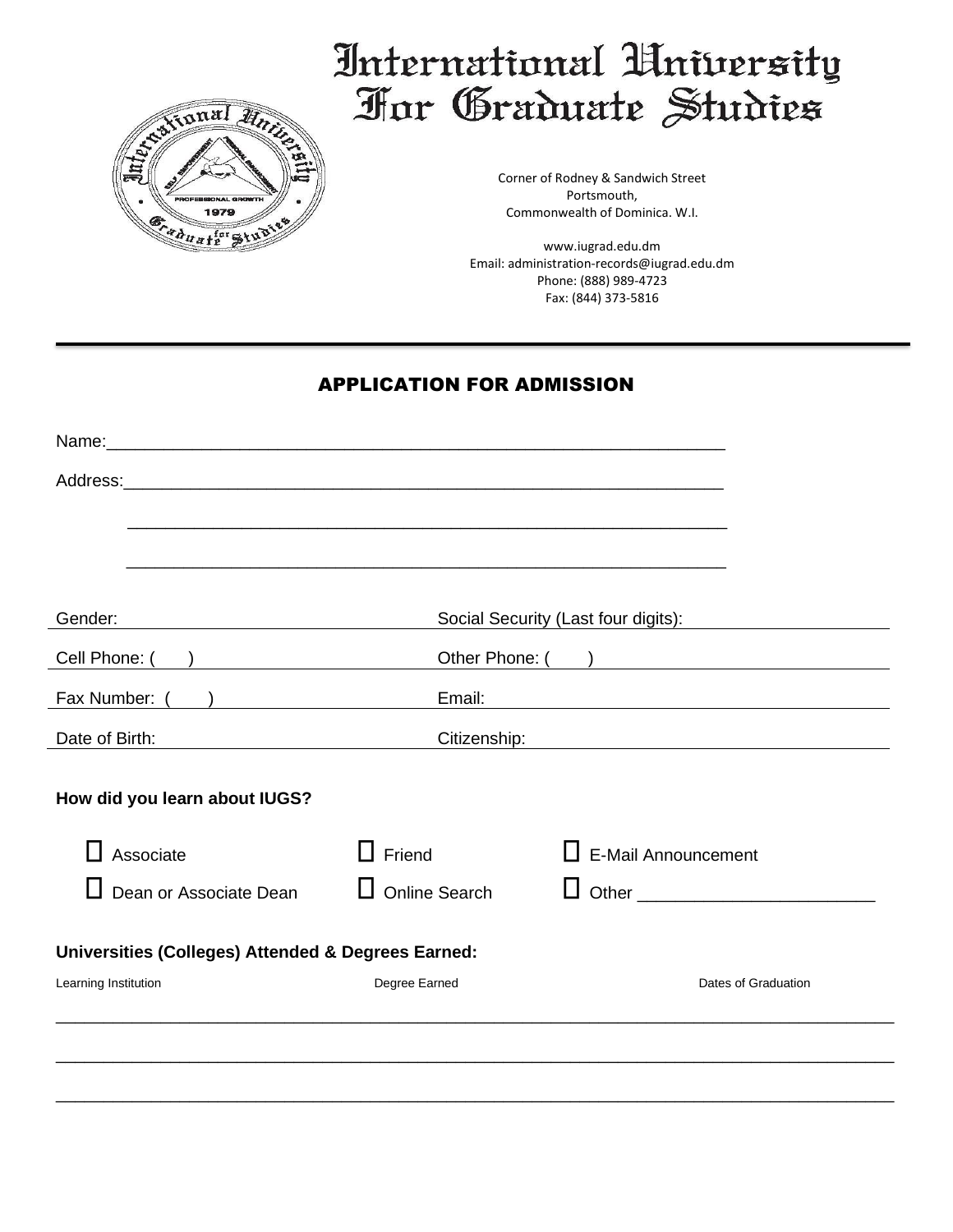

# International University For Graduate Studies

Corner of Rodney & Sandwich Street Portsmouth, Commonwealth of Dominica. W.I.

www.iugrad.edu.dm Email: administration-records@iugrad.edu.dm Phone: (888) 989-4723 Fax: (844) 373-5816

## APPLICATION FOR ADMISSION

|                                                                 | Name: Name: Name: Name: Name: Name: Name: Name: Name: Name: Name: Name: Name: Name: Name: Name: Name: Name: Name: Name: Name: Name: Name: Name: Name: Name: Name: Name: Name: Name: Name: Name: Name: Name: Name: Name: Name: |                                                    |
|-----------------------------------------------------------------|-------------------------------------------------------------------------------------------------------------------------------------------------------------------------------------------------------------------------------|----------------------------------------------------|
|                                                                 |                                                                                                                                                                                                                               |                                                    |
|                                                                 | <u> 1989 - Johann Barbara, marka masjid aka masjid aka masjid aka masjid aka masjid aka masjid aka masjid aka ma</u>                                                                                                          |                                                    |
|                                                                 |                                                                                                                                                                                                                               |                                                    |
|                                                                 |                                                                                                                                                                                                                               |                                                    |
| Gender:                                                         | Social Security (Last four digits):                                                                                                                                                                                           |                                                    |
| Cell Phone: ( )                                                 |                                                                                                                                                                                                                               |                                                    |
| Fax Number: (<br>) and the contract of $\overline{\phantom{a}}$ | Email:                                                                                                                                                                                                                        |                                                    |
| Date of Birth:                                                  | Citizenship:                                                                                                                                                                                                                  | <u> 1989 - Johann John Stein, fransk politik (</u> |
|                                                                 |                                                                                                                                                                                                                               |                                                    |
| How did you learn about IUGS?                                   |                                                                                                                                                                                                                               |                                                    |
|                                                                 |                                                                                                                                                                                                                               |                                                    |
| Associate                                                       | Friend                                                                                                                                                                                                                        | $\Box$ E-Mail Announcement                         |
| Dean or Associate Dean                                          | <b>Online Search</b>                                                                                                                                                                                                          |                                                    |
| Universities (Colleges) Attended & Degrees Earned:              |                                                                                                                                                                                                                               |                                                    |